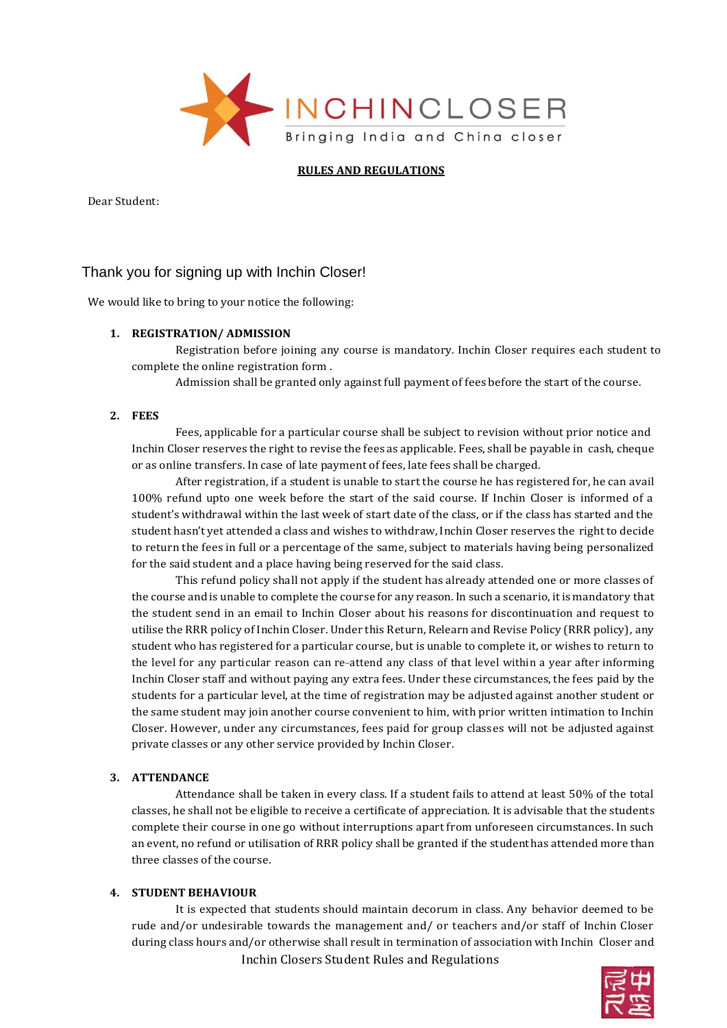

## **RULES AND REGULATIONS**

Dear Student:

# Thank you for signing up with Inchin Closer!

We would like to bring to your notice the following:

## **1. REGISTRATION/ ADMISSION**

Registration before joining any course is mandatory. Inchin Closer requires each student to complete the online registration form .

Admission shall be granted only against full payment of fees before the start of the course.

#### **2. FEES**

Fees, applicable for a particular course shall be subject to revision without prior notice and Inchin Closer reserves the right to revise the fees as applicable. Fees, shall be payable in cash, cheque or as online transfers. In case of late payment of fees, late fees shall be charged.

After registration, if a student is unable to start the course he has registered for, he can avail 100% refund upto one week before the start of the said course. If Inchin Closer is informed of a student's withdrawal within the last week of start date of the class, or if the class has started and the student hasn't yet attended a class and wishes to withdraw, Inchin Closer reserves the right to decide to return the fees in full or a percentage of the same, subject to materials having being personalized for the said student and a place having being reserved for the said class.

This refund policy shall not apply if the student has already attended one or more classes of the course and is unable to complete the course for any reason. In such a scenario, it is mandatory that the student send in an email to Inchin Closer about his reasons for discontinuation and request to utilise the RRR policy of Inchin Closer. Under this Return, Relearn and Revise Policy (RRR policy), any student who has registered for a particular course, but is unable to complete it, or wishes to return to the level for any particular reason can re-attend any class of that level within a year after informing Inchin Closer staff and without paying any extra fees. Under these circumstances, the fees paid by the students for a particular level, at the time of registration may be adjusted against another student or the same student may join another course convenient to him, with prior written intimation to Inchin Closer. However, under any circumstances, fees paid for group classes will not be adjusted against private classes or any other service provided by Inchin Closer.

## **3. ATTENDANCE**

Attendance shall be taken in every class. If a student fails to attend at least 50% of the total classes, he shall not be eligible to receive a certificate of appreciation. It is advisable that the students complete their course in one go without interruptions apart from unforeseen circumstances. In such an event, no refund or utilisation of RRR policy shall be granted if the student has attended more than three classes of the course.

## **4. STUDENT BEHAVIOUR**

Inchin Closers Student Rules and Regulations It is expected that students should maintain decorum in class. Any behavior deemed to be rude and/or undesirable towards the management and/ or teachers and/or staff of Inchin Closer during class hours and/or otherwise shall result in termination of association with Inchin Closer and

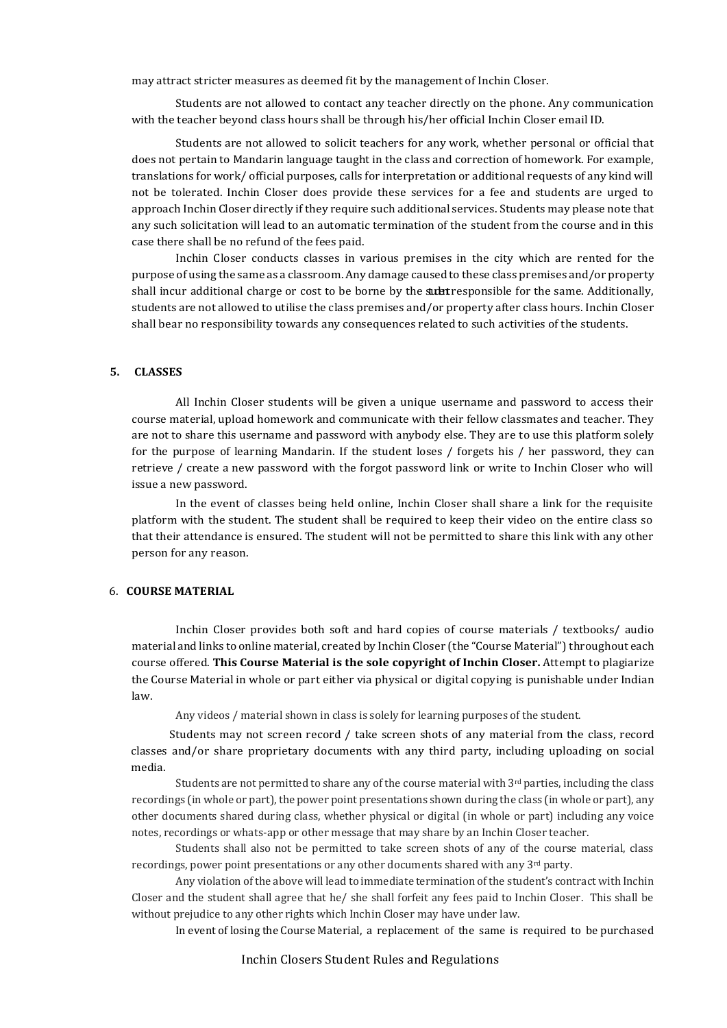may attract stricter measures as deemed fit by the management of Inchin Closer.

Students are not allowed to contact any teacher directly on the phone. Any communication with the teacher beyond class hours shall be through his/her official Inchin Closer email ID.

Students are not allowed to solicit teachers for any work, whether personal or official that does not pertain to Mandarin language taught in the class and correction of homework. For example, translations for work/ official purposes, calls for interpretation or additional requests of any kind will not be tolerated. Inchin Closer does provide these services for a fee and students are urged to approach Inchin Closer directly if they require such additional services. Students may please note that any such solicitation will lead to an automatic termination of the student from the course and in this case there shall be no refund of the fees paid.

Inchin Closer conducts classes in various premises in the city which are rented for the purpose of using the same as a classroom. Any damage caused to these class premises and/or property shall incur additional charge or cost to be borne by the student responsible for the same. Additionally, students are not allowed to utilise the class premises and/or property after class hours. Inchin Closer shall bear no responsibility towards any consequences related to such activities of the students.

## **5. CLASSES**

All Inchin Closer students will be given a unique username and password to access their course material, upload homework and communicate with their fellow classmates and teacher. They are not to share this username and password with anybody else. They are to use this platform solely for the purpose of learning Mandarin. If the student loses / forgets his / her password, they can retrieve / create a new password with the forgot password link or write to Inchin Closer who will issue a new password.

In the event of classes being held online, Inchin Closer shall share a link for the requisite platform with the student. The student shall be required to keep their video on the entire class so that their attendance is ensured. The student will not be permitted to share this link with any other person for any reason.

## 6. **COURSE MATERIAL**

Inchin Closer provides both soft and hard copies of course materials / textbooks/ audio material and links to online material, created by Inchin Closer (the "Course Material") throughout each course offered. **This Course Material is the sole copyright of Inchin Closer.** Attempt to plagiarize the Course Material in whole or part either via physical or digital copying is punishable under Indian law.

Any videos / material shown in class is solely for learning purposes of the student.

Students may not screen record / take screen shots of any material from the class, record classes and/or share proprietary documents with any third party, including uploading on social media.

Students are not permitted to share any of the course material with  $3<sup>rd</sup>$  parties, including the class recordings (in whole or part), the power point presentations shown during the class (in whole or part), any other documents shared during class, whether physical or digital (in whole or part) including any voice notes, recordings or whats-app or other message that may share by an Inchin Closer teacher.

Students shall also not be permitted to take screen shots of any of the course material, class recordings, power point presentations or any other documents shared with any 3rd party.

Any violation of the above will lead to immediate termination of the student's contract with Inchin Closer and the student shall agree that he/ she shall forfeit any fees paid to Inchin Closer. This shall be without prejudice to any other rights which Inchin Closer may have under law.

In event of losing the Course Material, a replacement of the same is required to be purchased

#### Inchin Closers Student Rules and Regulations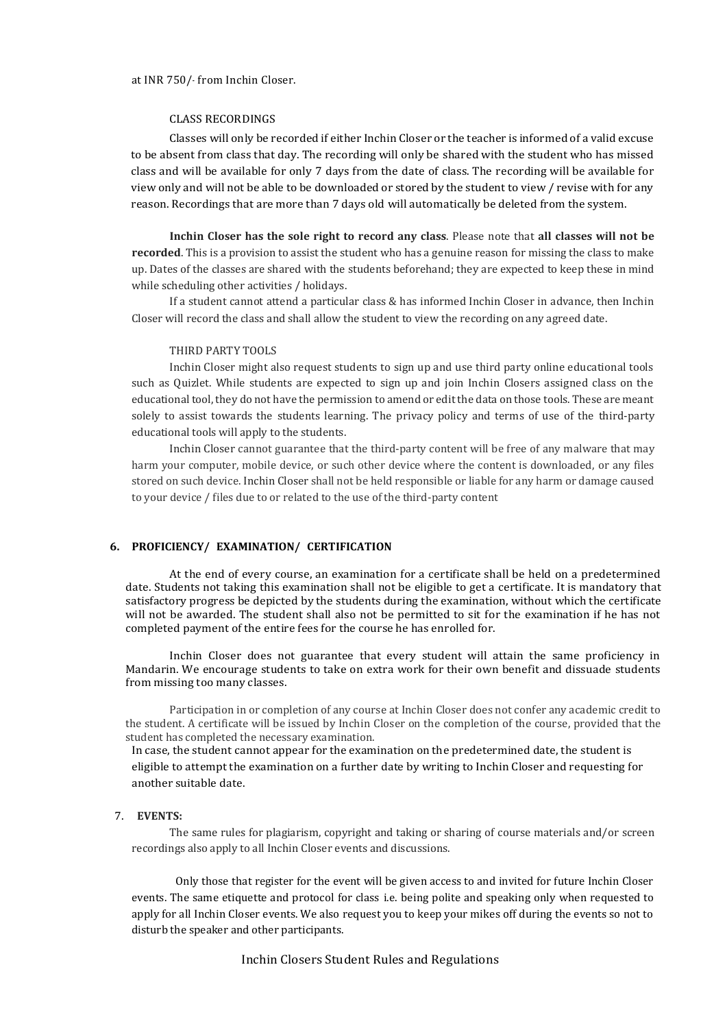at INR 750/-‐ from Inchin Closer.

#### CLASS RECORDINGS

Classes will only be recorded if either Inchin Closer or the teacher is informed of a valid excuse to be absent from class that day. The recording will only be shared with the student who has missed class and will be available for only 7 days from the date of class. The recording will be available for view only and will not be able to be downloaded or stored by the student to view / revise with for any reason. Recordings that are more than 7 days old will automatically be deleted from the system.

**Inchin Closer has the sole right to record any class**. Please note that **all classes will not be recorded**. This is a provision to assist the student who has a genuine reason for missing the class to make up. Dates of the classes are shared with the students beforehand; they are expected to keep these in mind while scheduling other activities / holidays.

If a student cannot attend a particular class & has informed Inchin Closer in advance, then Inchin Closer will record the class and shall allow the student to view the recording on any agreed date.

#### THIRD PARTY TOOLS

Inchin Closer might also request students to sign up and use third party online educational tools such as Quizlet. While students are expected to sign up and join Inchin Closers assigned class on the educational tool, they do not have the permission to amend or edit the data on those tools. These are meant solely to assist towards the students learning. The privacy policy and terms of use of the third-party educational tools will apply to the students.

Inchin Closer cannot guarantee that the third-party content will be free of any malware that may harm your computer, mobile device, or such other device where the content is downloaded, or any files stored on such device. Inchin Closer shall not be held responsible or liable for any harm or damage caused to your device / files due to or related to the use of the third-party content

#### **6. PROFICIENCY/ EXAMINATION/ CERTIFICATION**

At the end of every course, an examination for a certificate shall be held on a predetermined date. Students not taking this examination shall not be eligible to get a certificate. It is mandatory that satisfactory progress be depicted by the students during the examination, without which the certificate will not be awarded. The student shall also not be permitted to sit for the examination if he has not completed payment of the entire fees for the course he has enrolled for.

Inchin Closer does not guarantee that every student will attain the same proficiency in Mandarin. We encourage students to take on extra work for their own benefit and dissuade students from missing too many classes.

Participation in or completion of any course at Inchin Closer does not confer any academic credit to the student. A certificate will be issued by Inchin Closer on the completion of the course, provided that the student has completed the necessary examination.

In case, the student cannot appear for the examination on the predetermined date, the student is eligible to attempt the examination on a further date by writing to Inchin Closer and requesting for another suitable date.

## 7. **EVENTS:**

The same rules for plagiarism, copyright and taking or sharing of course materials and/or screen recordings also apply to all Inchin Closer events and discussions.

Only those that register for the event will be given access to and invited for future Inchin Closer events. The same etiquette and protocol for class i.e. being polite and speaking only when requested to apply for all Inchin Closer events. We also request you to keep your mikes off during the events so not to disturb the speaker and other participants.

Inchin Closers Student Rules and Regulations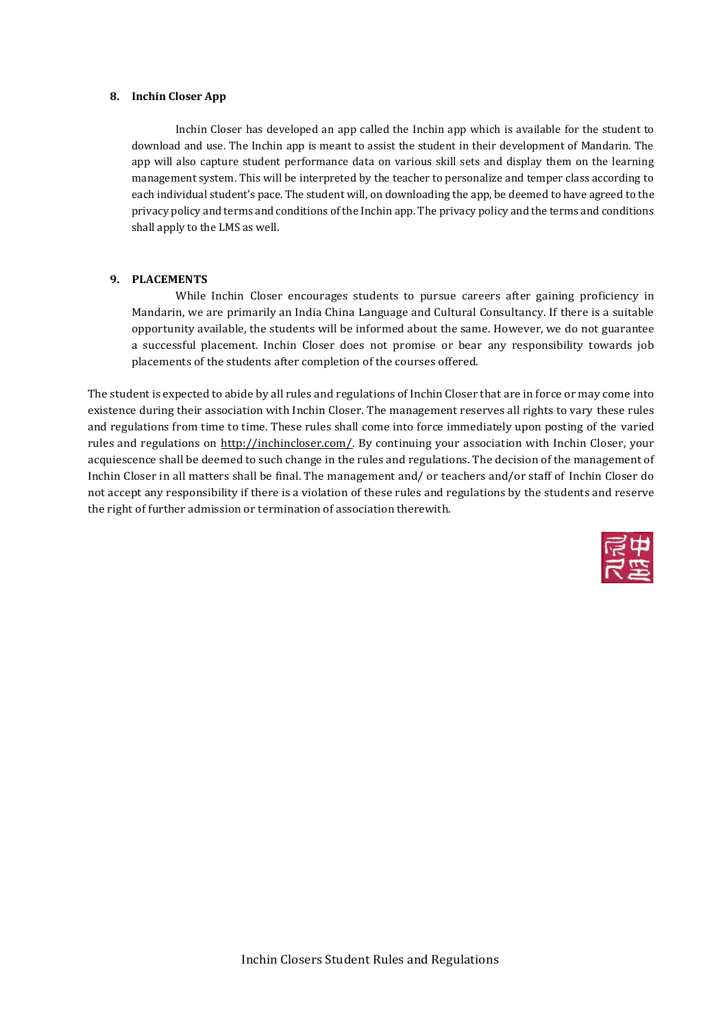#### **8. Inchin Closer App**

Inchin Closer has developed an app called the Inchin app which is available for the student to download and use. The Inchin app is meant to assist the student in their development of Mandarin. The app will also capture student performance data on various skill sets and display them on the learning management system. This will be interpreted by the teacher to personalize and temper class according to each individual student's pace. The student will, on downloading the app, be deemed to have agreed to the privacy policy and terms and conditions of the Inchin app. The privacy policy and the terms and conditions shall apply to the LMS as well.

## **9. PLACEMENTS**

While Inchin Closer encourages students to pursue careers after gaining proficiency in Mandarin, we are primarily an India China Language and Cultural Consultancy. If there is a suitable opportunity available, the students will be informed about the same. However, we do not guarantee a successful placement. Inchin Closer does not promise or bear any responsibility towards job placements of the students after completion of the courses offered.

The student is expected to abide by all rules and regulations of Inchin Closer that are in force or may come into existence during their association with Inchin Closer. The management reserves all rights to vary these rules and regulations from time to time. These rules shall come into force immediately upon posting of the varied rules and regulations on [http://inchincloser.com/. B](http://inchincloser.com/)y continuing your association with Inchin Closer, your acquiescence shall be deemed to such change in the rules and regulations. The decision of the management of Inchin Closer in all matters shall be final. The management and/ or teachers and/or staff of Inchin Closer do not accept any responsibility if there is a violation of these rules and regulations by the students and reserve the right of further admission or termination of association therewith.